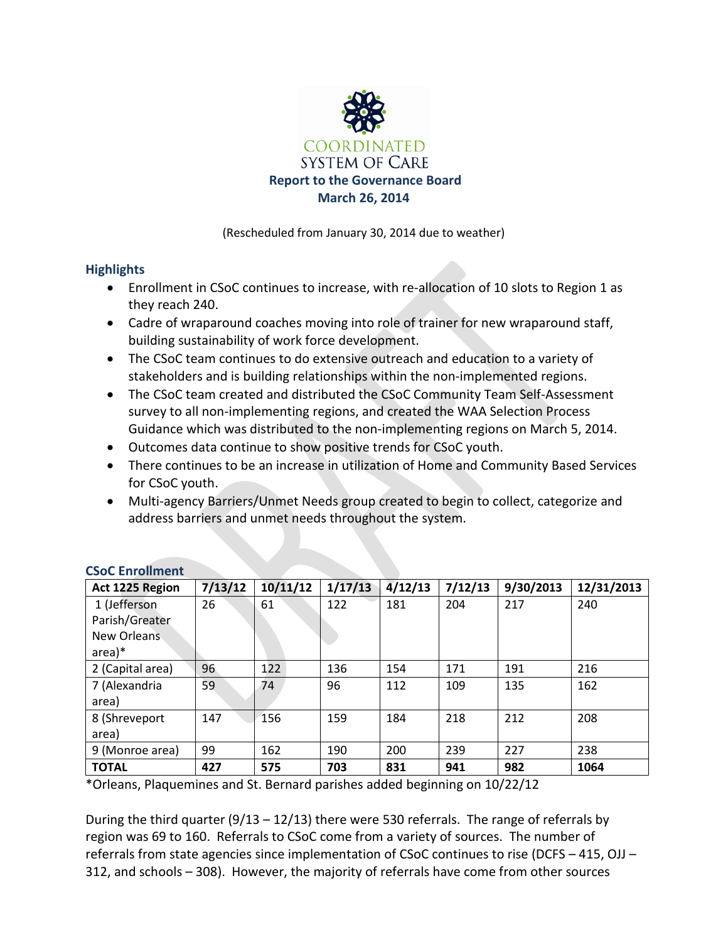

(Rescheduled from January 30, 2014 due to weather)

### **Highlights**

- Enrollment in CSoC continues to increase, with re-allocation of 10 slots to Region 1 as they reach 240.
- Cadre of wraparound coaches moving into role of trainer for new wraparound staff, building sustainability of work force development.
- The CSoC team continues to do extensive outreach and education to a variety of stakeholders and is building relationships within the non-implemented regions.
- The CSoC team created and distributed the CSoC Community Team Self-Assessment survey to all non-implementing regions, and created the WAA Selection Process Guidance which was distributed to the non-implementing regions on March 5, 2014.
- Outcomes data continue to show positive trends for CSoC youth.
- There continues to be an increase in utilization of Home and Community Based Services for CSoC youth.
- Multi-agency Barriers/Unmet Needs group created to begin to collect, categorize and address barriers and unmet needs throughout the system.

| Act 1225 Region  | 7/13/12 | 10/11/12 | 1/17/13 | 4/12/13 | 7/12/13 | 9/30/2013 | 12/31/2013 |
|------------------|---------|----------|---------|---------|---------|-----------|------------|
| 1 (Jefferson     | 26      | 61       | 122     | 181     | 204     | 217       | 240        |
| Parish/Greater   |         |          |         |         |         |           |            |
| New Orleans      |         |          |         |         |         |           |            |
| $area)*$         |         |          |         |         |         |           |            |
| 2 (Capital area) | 96      | 122      | 136     | 154     | 171     | 191       | 216        |
| 7 (Alexandria    | 59      | 74       | 96      | 112     | 109     | 135       | 162        |
| area)            |         |          |         |         |         |           |            |
| 8 (Shreveport    | 147     | 156      | 159     | 184     | 218     | 212       | 208        |
| area)            |         |          |         |         |         |           |            |
| 9 (Monroe area)  | 99      | 162      | 190     | 200     | 239     | 227       | 238        |
| <b>TOTAL</b>     | 427     | 575      | 703     | 831     | 941     | 982       | 1064       |

### **CSoC Enrollment**

\*Orleans, Plaquemines and St. Bernard parishes added beginning on 10/22/12

During the third quarter (9/13 – 12/13) there were 530 referrals. The range of referrals by region was 69 to 160. Referrals to CSoC come from a variety of sources. The number of referrals from state agencies since implementation of CSoC continues to rise (DCFS – 415, OJJ – 312, and schools – 308). However, the majority of referrals have come from other sources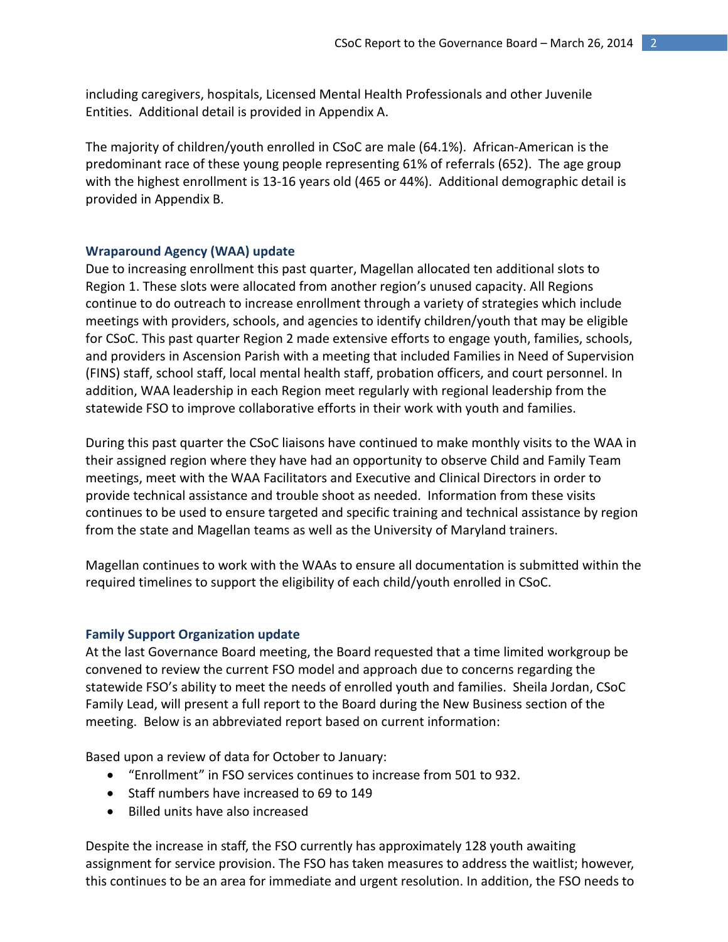including caregivers, hospitals, Licensed Mental Health Professionals and other Juvenile Entities. Additional detail is provided in Appendix A.

The majority of children/youth enrolled in CSoC are male (64.1%). African-American is the predominant race of these young people representing 61% of referrals (652). The age group with the highest enrollment is 13-16 years old (465 or 44%). Additional demographic detail is provided in Appendix B.

#### **Wraparound Agency (WAA) update**

Due to increasing enrollment this past quarter, Magellan allocated ten additional slots to Region 1. These slots were allocated from another region's unused capacity. All Regions continue to do outreach to increase enrollment through a variety of strategies which include meetings with providers, schools, and agencies to identify children/youth that may be eligible for CSoC. This past quarter Region 2 made extensive efforts to engage youth, families, schools, and providers in Ascension Parish with a meeting that included Families in Need of Supervision (FINS) staff, school staff, local mental health staff, probation officers, and court personnel. In addition, WAA leadership in each Region meet regularly with regional leadership from the statewide FSO to improve collaborative efforts in their work with youth and families.

During this past quarter the CSoC liaisons have continued to make monthly visits to the WAA in their assigned region where they have had an opportunity to observe Child and Family Team meetings, meet with the WAA Facilitators and Executive and Clinical Directors in order to provide technical assistance and trouble shoot as needed. Information from these visits continues to be used to ensure targeted and specific training and technical assistance by region from the state and Magellan teams as well as the University of Maryland trainers.

Magellan continues to work with the WAAs to ensure all documentation is submitted within the required timelines to support the eligibility of each child/youth enrolled in CSoC.

#### **Family Support Organization update**

At the last Governance Board meeting, the Board requested that a time limited workgroup be convened to review the current FSO model and approach due to concerns regarding the statewide FSO's ability to meet the needs of enrolled youth and families. Sheila Jordan, CSoC Family Lead, will present a full report to the Board during the New Business section of the meeting. Below is an abbreviated report based on current information:

Based upon a review of data for October to January:

- "Enrollment" in FSO services continues to increase from 501 to 932.
- Staff numbers have increased to 69 to 149
- Billed units have also increased

Despite the increase in staff, the FSO currently has approximately 128 youth awaiting assignment for service provision. The FSO has taken measures to address the waitlist; however, this continues to be an area for immediate and urgent resolution. In addition, the FSO needs to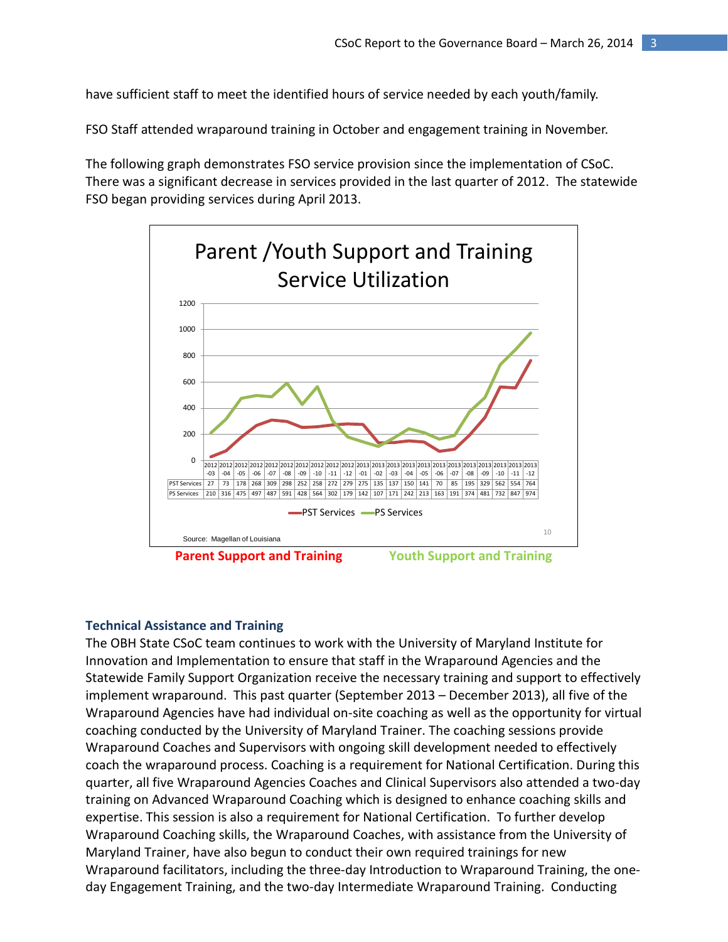have sufficient staff to meet the identified hours of service needed by each youth/family.

FSO Staff attended wraparound training in October and engagement training in November.

The following graph demonstrates FSO service provision since the implementation of CSoC. There was a significant decrease in services provided in the last quarter of 2012. The statewide FSO began providing services during April 2013.



#### **Technical Assistance and Training**

The OBH State CSoC team continues to work with the University of Maryland Institute for Innovation and Implementation to ensure that staff in the Wraparound Agencies and the Statewide Family Support Organization receive the necessary training and support to effectively implement wraparound. This past quarter (September 2013 – December 2013), all five of the Wraparound Agencies have had individual on-site coaching as well as the opportunity for virtual coaching conducted by the University of Maryland Trainer. The coaching sessions provide Wraparound Coaches and Supervisors with ongoing skill development needed to effectively coach the wraparound process. Coaching is a requirement for National Certification. During this quarter, all five Wraparound Agencies Coaches and Clinical Supervisors also attended a two-day training on Advanced Wraparound Coaching which is designed to enhance coaching skills and expertise. This session is also a requirement for National Certification. To further develop Wraparound Coaching skills, the Wraparound Coaches, with assistance from the University of Maryland Trainer, have also begun to conduct their own required trainings for new Wraparound facilitators, including the three-day Introduction to Wraparound Training, the oneday Engagement Training, and the two-day Intermediate Wraparound Training. Conducting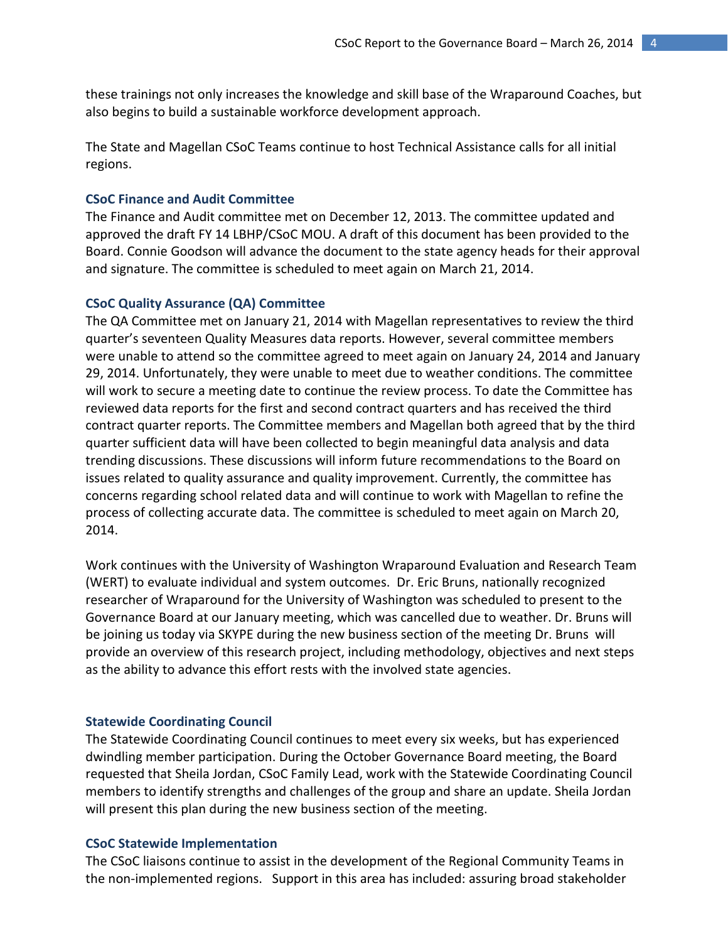these trainings not only increases the knowledge and skill base of the Wraparound Coaches, but also begins to build a sustainable workforce development approach.

The State and Magellan CSoC Teams continue to host Technical Assistance calls for all initial regions.

#### **CSoC Finance and Audit Committee**

The Finance and Audit committee met on December 12, 2013. The committee updated and approved the draft FY 14 LBHP/CSoC MOU. A draft of this document has been provided to the Board. Connie Goodson will advance the document to the state agency heads for their approval and signature. The committee is scheduled to meet again on March 21, 2014.

#### **CSoC Quality Assurance (QA) Committee**

The QA Committee met on January 21, 2014 with Magellan representatives to review the third quarter's seventeen Quality Measures data reports. However, several committee members were unable to attend so the committee agreed to meet again on January 24, 2014 and January 29, 2014. Unfortunately, they were unable to meet due to weather conditions. The committee will work to secure a meeting date to continue the review process. To date the Committee has reviewed data reports for the first and second contract quarters and has received the third contract quarter reports. The Committee members and Magellan both agreed that by the third quarter sufficient data will have been collected to begin meaningful data analysis and data trending discussions. These discussions will inform future recommendations to the Board on issues related to quality assurance and quality improvement. Currently, the committee has concerns regarding school related data and will continue to work with Magellan to refine the process of collecting accurate data. The committee is scheduled to meet again on March 20, 2014.

Work continues with the University of Washington Wraparound Evaluation and Research Team (WERT) to evaluate individual and system outcomes. Dr. Eric Bruns, nationally recognized researcher of Wraparound for the University of Washington was scheduled to present to the Governance Board at our January meeting, which was cancelled due to weather. Dr. Bruns will be joining us today via SKYPE during the new business section of the meeting Dr. Bruns will provide an overview of this research project, including methodology, objectives and next steps as the ability to advance this effort rests with the involved state agencies.

#### **Statewide Coordinating Council**

The Statewide Coordinating Council continues to meet every six weeks, but has experienced dwindling member participation. During the October Governance Board meeting, the Board requested that Sheila Jordan, CSoC Family Lead, work with the Statewide Coordinating Council members to identify strengths and challenges of the group and share an update. Sheila Jordan will present this plan during the new business section of the meeting.

#### **CSoC Statewide Implementation**

The CSoC liaisons continue to assist in the development of the Regional Community Teams in the non-implemented regions. Support in this area has included: assuring broad stakeholder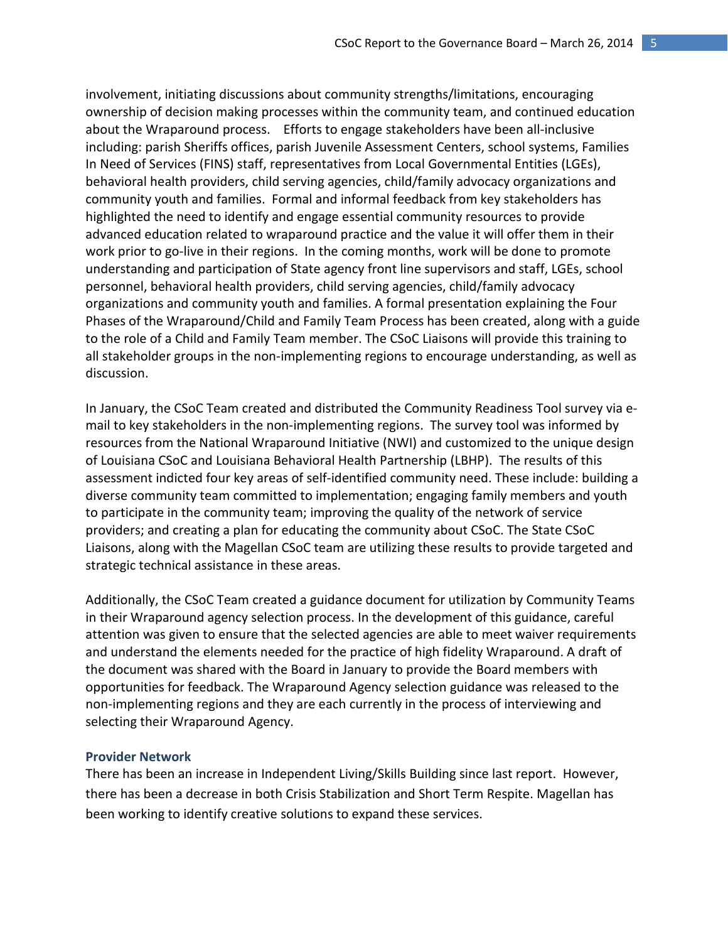involvement, initiating discussions about community strengths/limitations, encouraging ownership of decision making processes within the community team, and continued education about the Wraparound process. Efforts to engage stakeholders have been all-inclusive including: parish Sheriffs offices, parish Juvenile Assessment Centers, school systems, Families In Need of Services (FINS) staff, representatives from Local Governmental Entities (LGEs), behavioral health providers, child serving agencies, child/family advocacy organizations and community youth and families. Formal and informal feedback from key stakeholders has highlighted the need to identify and engage essential community resources to provide advanced education related to wraparound practice and the value it will offer them in their work prior to go-live in their regions. In the coming months, work will be done to promote understanding and participation of State agency front line supervisors and staff, LGEs, school personnel, behavioral health providers, child serving agencies, child/family advocacy organizations and community youth and families. A formal presentation explaining the Four Phases of the Wraparound/Child and Family Team Process has been created, along with a guide to the role of a Child and Family Team member. The CSoC Liaisons will provide this training to all stakeholder groups in the non-implementing regions to encourage understanding, as well as discussion.

In January, the CSoC Team created and distributed the Community Readiness Tool survey via email to key stakeholders in the non-implementing regions. The survey tool was informed by resources from the National Wraparound Initiative (NWI) and customized to the unique design of Louisiana CSoC and Louisiana Behavioral Health Partnership (LBHP). The results of this assessment indicted four key areas of self-identified community need. These include: building a diverse community team committed to implementation; engaging family members and youth to participate in the community team; improving the quality of the network of service providers; and creating a plan for educating the community about CSoC. The State CSoC Liaisons, along with the Magellan CSoC team are utilizing these results to provide targeted and strategic technical assistance in these areas.

Additionally, the CSoC Team created a guidance document for utilization by Community Teams in their Wraparound agency selection process. In the development of this guidance, careful attention was given to ensure that the selected agencies are able to meet waiver requirements and understand the elements needed for the practice of high fidelity Wraparound. A draft of the document was shared with the Board in January to provide the Board members with opportunities for feedback. The Wraparound Agency selection guidance was released to the non-implementing regions and they are each currently in the process of interviewing and selecting their Wraparound Agency.

#### **Provider Network**

There has been an increase in Independent Living/Skills Building since last report. However, there has been a decrease in both Crisis Stabilization and Short Term Respite. Magellan has been working to identify creative solutions to expand these services.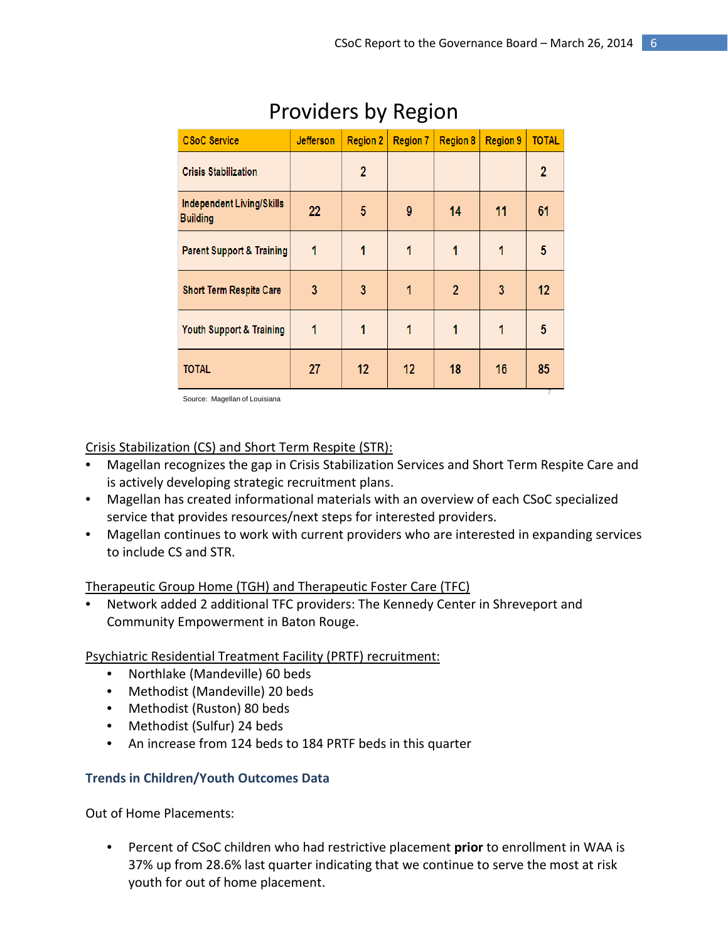| <b>CSoC Service</b>                          | <b>Jefferson</b> | <b>Region 2</b> | <b>Region 7</b> | <b>Region 8</b> | <b>Region 9</b> | <b>TOTAL</b>   |
|----------------------------------------------|------------------|-----------------|-----------------|-----------------|-----------------|----------------|
| <b>Crisis Stabilization</b>                  |                  | $\overline{2}$  |                 |                 |                 | $\overline{2}$ |
| Independent Living/Skills<br><b>Building</b> | 22               | 5               | 9               | 14              | 11              | 61             |
| <b>Parent Support &amp; Training</b>         | 1                | 1               | 1               | 1               | 1               | 5              |
| <b>Short Term Respite Care</b>               | 3                | 3               | 1               | $\overline{2}$  | 3               | 12             |
| Youth Support & Training                     | 1                | 1               | 1               | 1               |                 | 5              |
| <b>TOTAL</b>                                 | 27               | 12              | 12              | 18              | 16              | 85             |

# Providers by Region

Source: Magellan of Louisiana

### Crisis Stabilization (CS) and Short Term Respite (STR):

- Magellan recognizes the gap in Crisis Stabilization Services and Short Term Respite Care and is actively developing strategic recruitment plans.
- Magellan has created informational materials with an overview of each CSoC specialized service that provides resources/next steps for interested providers.
- Magellan continues to work with current providers who are interested in expanding services to include CS and STR.

### Therapeutic Group Home (TGH) and Therapeutic Foster Care (TFC)

• Network added 2 additional TFC providers: The Kennedy Center in Shreveport and Community Empowerment in Baton Rouge.

Psychiatric Residential Treatment Facility (PRTF) recruitment:

- Northlake (Mandeville) 60 beds
- Methodist (Mandeville) 20 beds
- Methodist (Ruston) 80 beds
- Methodist (Sulfur) 24 beds
- An increase from 124 beds to 184 PRTF beds in this quarter

### **Trends in Children/Youth Outcomes Data**

Out of Home Placements:

• Percent of CSoC children who had restrictive placement **prior** to enrollment in WAA is 37% up from 28.6% last quarter indicating that we continue to serve the most at risk youth for out of home placement.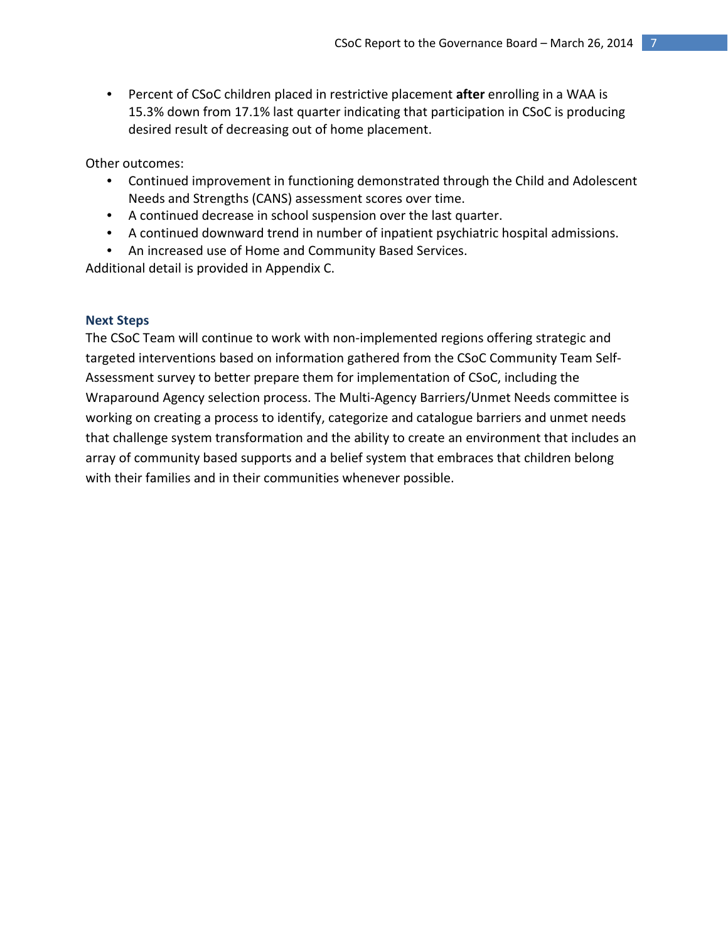• Percent of CSoC children placed in restrictive placement **after** enrolling in a WAA is 15.3% down from 17.1% last quarter indicating that participation in CSoC is producing desired result of decreasing out of home placement.

Other outcomes:

- Continued improvement in functioning demonstrated through the Child and Adolescent Needs and Strengths (CANS) assessment scores over time.
- A continued decrease in school suspension over the last quarter.
- A continued downward trend in number of inpatient psychiatric hospital admissions.
- An increased use of Home and Community Based Services.

Additional detail is provided in Appendix C.

### **Next Steps**

The CSoC Team will continue to work with non-implemented regions offering strategic and targeted interventions based on information gathered from the CSoC Community Team Self-Assessment survey to better prepare them for implementation of CSoC, including the Wraparound Agency selection process. The Multi-Agency Barriers/Unmet Needs committee is working on creating a process to identify, categorize and catalogue barriers and unmet needs that challenge system transformation and the ability to create an environment that includes an array of community based supports and a belief system that embraces that children belong with their families and in their communities whenever possible.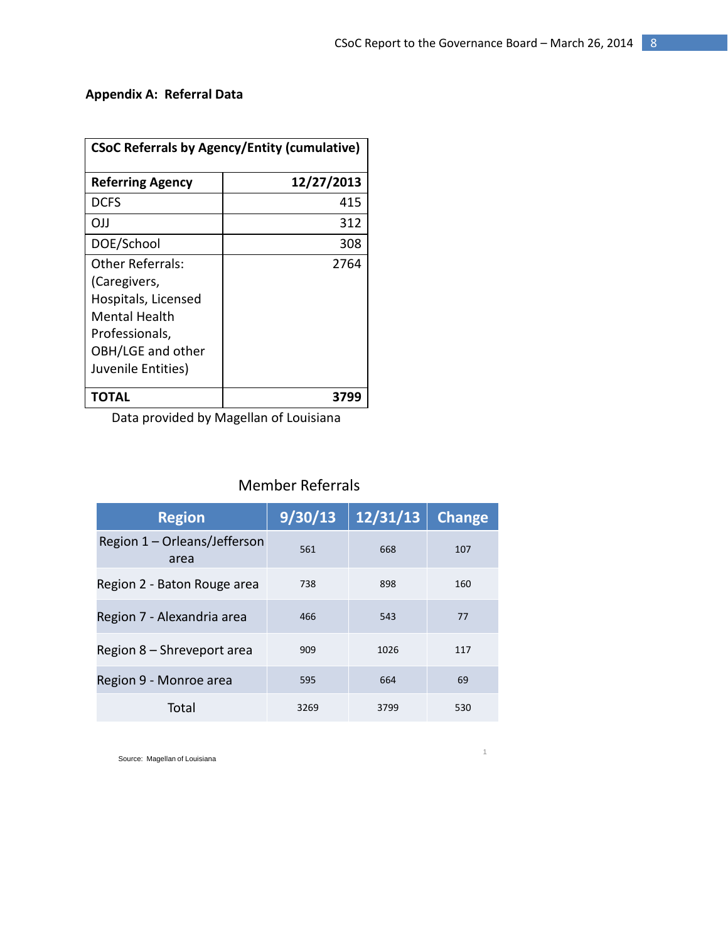### **Appendix A: Referral Data**

| <b>CSoC Referrals by Agency/Entity (cumulative)</b> |            |  |  |
|-----------------------------------------------------|------------|--|--|
| <b>Referring Agency</b>                             | 12/27/2013 |  |  |
| DCFS                                                | 415        |  |  |
| <b>OJJ</b>                                          | 312        |  |  |
| DOE/School                                          | 308        |  |  |
| Other Referrals:                                    | 2764       |  |  |
| (Caregivers,                                        |            |  |  |
| Hospitals, Licensed                                 |            |  |  |
| Mental Health                                       |            |  |  |
| Professionals,                                      |            |  |  |
| OBH/LGE and other                                   |            |  |  |
| Juvenile Entities)                                  |            |  |  |
| ΤΩΤΔΙ                                               | 3799       |  |  |

Data provided by Magellan of Louisiana

## Member Referrals

| <b>Region</b>                        | 9/30/13 | 12/31/13 | <b>Change</b> |
|--------------------------------------|---------|----------|---------------|
| Region 1 – Orleans/Jefferson<br>area | 561     | 668      | 107           |
| Region 2 - Baton Rouge area          | 738     | 898      | 160           |
| Region 7 - Alexandria area           | 466     | 543      | 77            |
| Region 8 - Shreveport area           | 909     | 1026     | 117           |
| Region 9 - Monroe area               | 595     | 664      | 69            |
| Total                                | 3269    | 3799     | 530           |

<sup>1</sup> Source: Magellan of Louisiana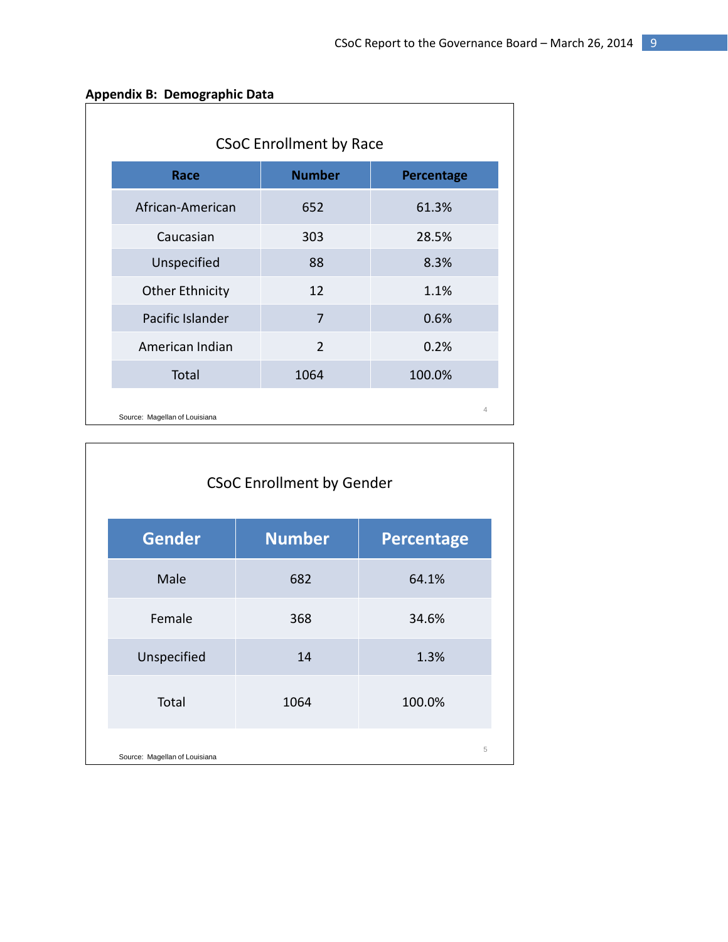|  | Appendix B: Demographic Data |  |
|--|------------------------------|--|
|--|------------------------------|--|

 $\mathbf{I}$ 

| <b>CSoC Enrollment by Race</b> |               |                |  |  |  |
|--------------------------------|---------------|----------------|--|--|--|
| Race                           | <b>Number</b> | Percentage     |  |  |  |
| African-American               | 652           | 61.3%          |  |  |  |
| Caucasian                      | 303           | 28.5%          |  |  |  |
| Unspecified                    | 88            | 8.3%           |  |  |  |
| <b>Other Ethnicity</b>         | 12            | 1.1%           |  |  |  |
| Pacific Islander               | 7             | 0.6%           |  |  |  |
| American Indian                | $\mathcal{P}$ | 0.2%           |  |  |  |
| Total                          | 1064          | 100.0%         |  |  |  |
| Source: Magellan of Louisiana  |               | $\overline{4}$ |  |  |  |

| <b>CSoC Enrollment by Gender</b> |               |                   |  |  |  |
|----------------------------------|---------------|-------------------|--|--|--|
| <b>Gender</b>                    | <b>Number</b> | <b>Percentage</b> |  |  |  |
| Male                             | 682           | 64.1%             |  |  |  |
| Female                           | 368           | 34.6%             |  |  |  |
| Unspecified                      | 14            | 1.3%              |  |  |  |
| Total                            | 1064          | 100.0%            |  |  |  |
| Source: Magellan of Louisiana    |               | 5                 |  |  |  |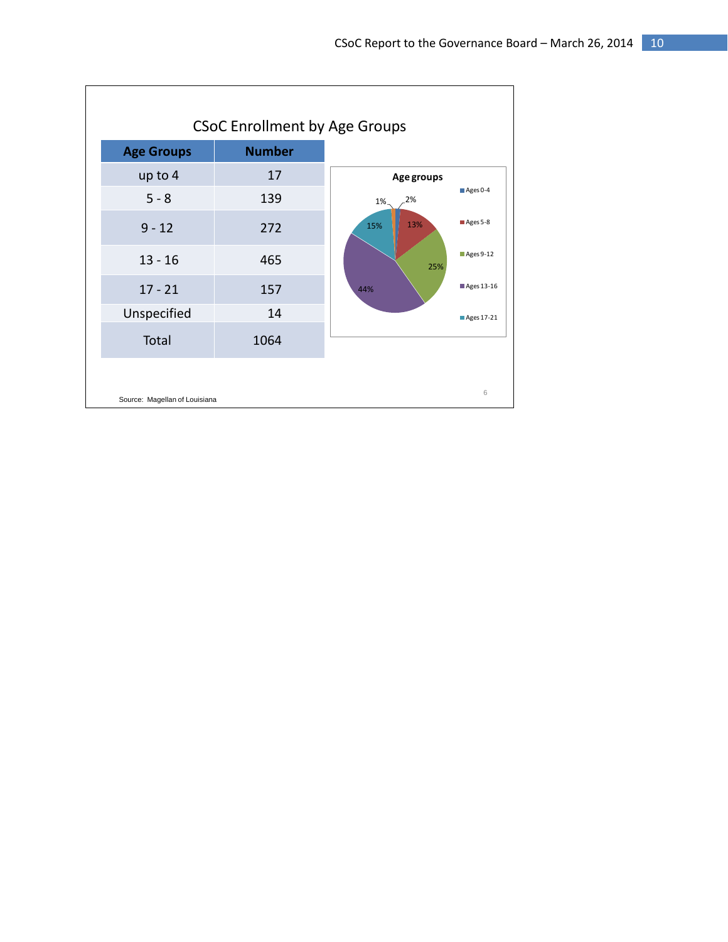|                   | <b>CSoC Enrollment by Age Groups</b> |                                 |
|-------------------|--------------------------------------|---------------------------------|
| <b>Age Groups</b> | <b>Number</b>                        |                                 |
| up to 4           | 17                                   | Age groups                      |
| $5 - 8$           | 139                                  | Ages 0-4<br>.2%<br>1%           |
| $9 - 12$          | 272                                  | Ages 5-8<br>13%<br>15%          |
| $13 - 16$         | 465                                  | $\blacksquare$ Ages 9-12<br>25% |
| $17 - 21$         | 157                                  | Ages 13-16<br>44%               |
| Unspecified       | 14                                   | Ages 17-21                      |
| Total             | 1064                                 |                                 |
|                   |                                      |                                 |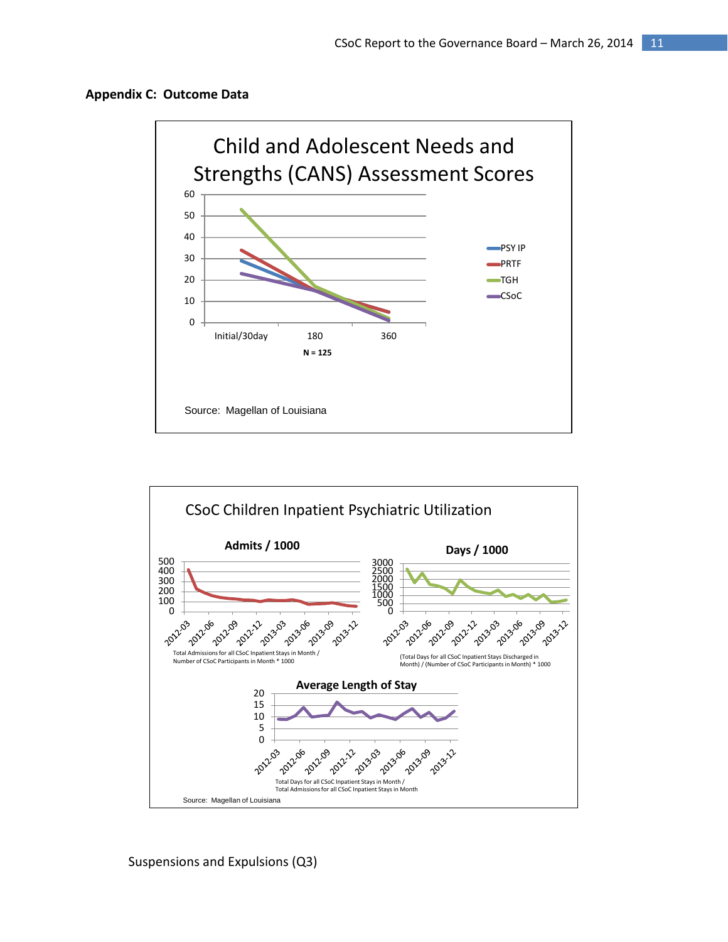





Suspensions and Expulsions (Q3)